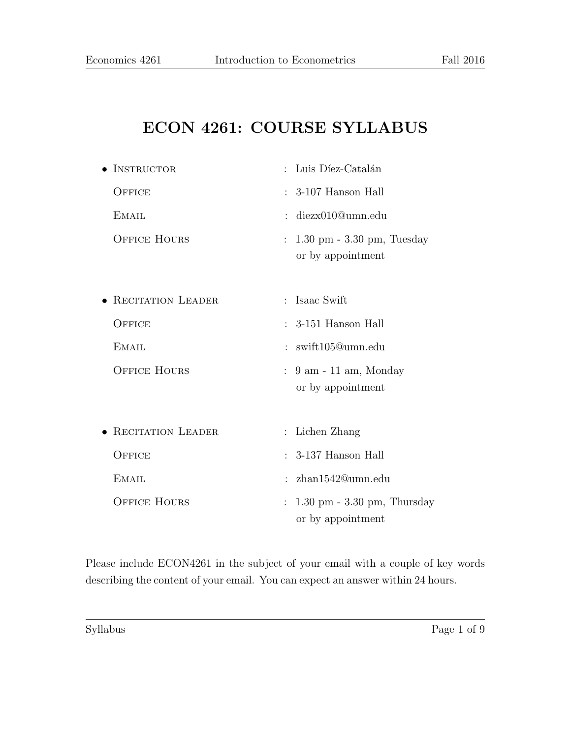# ECON 4261: COURSE SYLLABUS

| $\bullet$ INSTRUCTOR | : Luis Díez-Catalán                                                 |  |  |  |  |  |
|----------------------|---------------------------------------------------------------------|--|--|--|--|--|
| OFFICE               | 3-107 Hanson Hall<br>÷                                              |  |  |  |  |  |
| <b>EMAIL</b>         | diezx010@umn.edu                                                    |  |  |  |  |  |
| <b>OFFICE HOURS</b>  | $1.30 \text{ pm} - 3.30 \text{ pm}$ , Tuesday<br>or by appointment  |  |  |  |  |  |
| • RECITATION LEADER  | Isaac Swift<br>$\ddot{\cdot}$                                       |  |  |  |  |  |
| OFFICE               | $: 3-151$ Hanson Hall                                               |  |  |  |  |  |
| <b>EMAIL</b>         | $:$ swift105@umn.edu                                                |  |  |  |  |  |
| <b>OFFICE HOURS</b>  | $9$ am - 11 am, Monday<br>or by appointment                         |  |  |  |  |  |
| • RECITATION LEADER  | Lichen Zhang                                                        |  |  |  |  |  |
| OFFICE               | 3-137 Hanson Hall<br>$\mathcal{L}$                                  |  |  |  |  |  |
| <b>EMAIL</b>         | zhan1542@umn.edu<br>$\ddot{\cdot}$                                  |  |  |  |  |  |
| <b>OFFICE HOURS</b>  | $1.30 \text{ pm} - 3.30 \text{ pm}$ , Thursday<br>or by appointment |  |  |  |  |  |
|                      |                                                                     |  |  |  |  |  |

Please include ECON4261 in the subject of your email with a couple of key words describing the content of your email. You can expect an answer within 24 hours.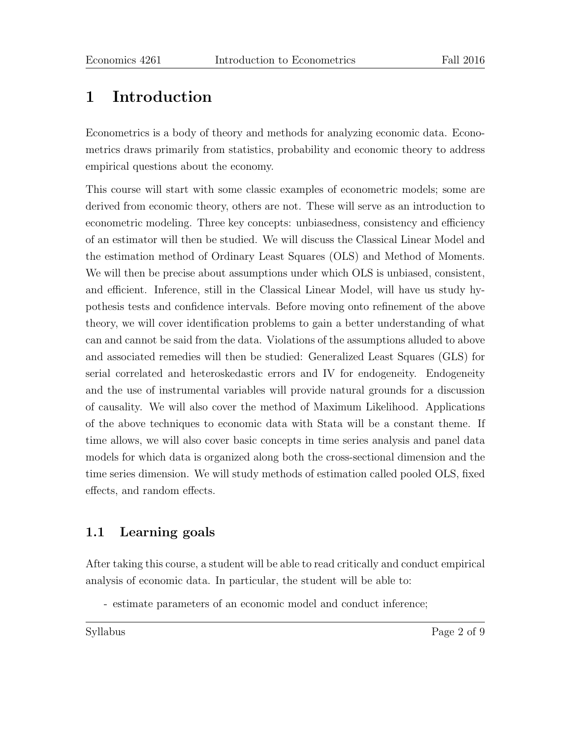# 1 Introduction

Econometrics is a body of theory and methods for analyzing economic data. Econometrics draws primarily from statistics, probability and economic theory to address empirical questions about the economy.

This course will start with some classic examples of econometric models; some are derived from economic theory, others are not. These will serve as an introduction to econometric modeling. Three key concepts: unbiasedness, consistency and efficiency of an estimator will then be studied. We will discuss the Classical Linear Model and the estimation method of Ordinary Least Squares (OLS) and Method of Moments. We will then be precise about assumptions under which OLS is unbiased, consistent, and efficient. Inference, still in the Classical Linear Model, will have us study hypothesis tests and confidence intervals. Before moving onto refinement of the above theory, we will cover identification problems to gain a better understanding of what can and cannot be said from the data. Violations of the assumptions alluded to above and associated remedies will then be studied: Generalized Least Squares (GLS) for serial correlated and heteroskedastic errors and IV for endogeneity. Endogeneity and the use of instrumental variables will provide natural grounds for a discussion of causality. We will also cover the method of Maximum Likelihood. Applications of the above techniques to economic data with Stata will be a constant theme. If time allows, we will also cover basic concepts in time series analysis and panel data models for which data is organized along both the cross-sectional dimension and the time series dimension. We will study methods of estimation called pooled OLS, fixed effects, and random effects.

### 1.1 Learning goals

After taking this course, a student will be able to read critically and conduct empirical analysis of economic data. In particular, the student will be able to:

- estimate parameters of an economic model and conduct inference;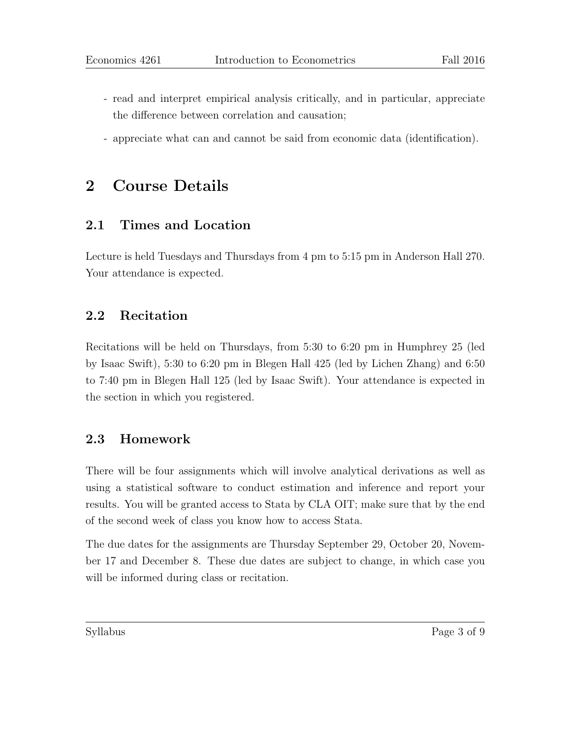- read and interpret empirical analysis critically, and in particular, appreciate the difference between correlation and causation;
- appreciate what can and cannot be said from economic data (identification).

### 2 Course Details

### 2.1 Times and Location

Lecture is held Tuesdays and Thursdays from 4 pm to 5:15 pm in Anderson Hall 270. Your attendance is expected.

#### 2.2 Recitation

Recitations will be held on Thursdays, from 5:30 to 6:20 pm in Humphrey 25 (led by Isaac Swift), 5:30 to 6:20 pm in Blegen Hall 425 (led by Lichen Zhang) and 6:50 to 7:40 pm in Blegen Hall 125 (led by Isaac Swift). Your attendance is expected in the section in which you registered.

### 2.3 Homework

There will be four assignments which will involve analytical derivations as well as using a statistical software to conduct estimation and inference and report your results. You will be granted access to Stata by CLA OIT; make sure that by the end of the second week of class you know how to access Stata.

The due dates for the assignments are Thursday September 29, October 20, November 17 and December 8. These due dates are subject to change, in which case you will be informed during class or recitation.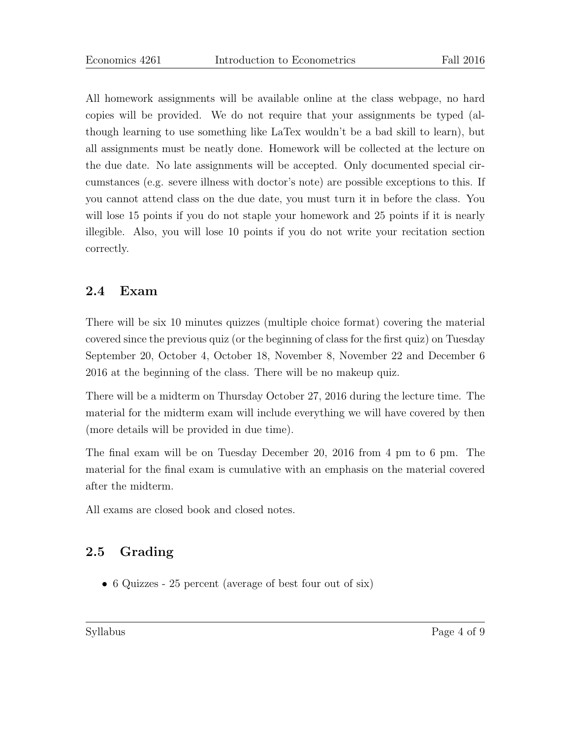All homework assignments will be available online at the class webpage, no hard copies will be provided. We do not require that your assignments be typed (although learning to use something like LaTex wouldn't be a bad skill to learn), but all assignments must be neatly done. Homework will be collected at the lecture on the due date. No late assignments will be accepted. Only documented special circumstances (e.g. severe illness with doctor's note) are possible exceptions to this. If you cannot attend class on the due date, you must turn it in before the class. You will lose 15 points if you do not staple your homework and 25 points if it is nearly illegible. Also, you will lose 10 points if you do not write your recitation section correctly.

### 2.4 Exam

There will be six 10 minutes quizzes (multiple choice format) covering the material covered since the previous quiz (or the beginning of class for the first quiz) on Tuesday September 20, October 4, October 18, November 8, November 22 and December 6 2016 at the beginning of the class. There will be no makeup quiz.

There will be a midterm on Thursday October 27, 2016 during the lecture time. The material for the midterm exam will include everything we will have covered by then (more details will be provided in due time).

The final exam will be on Tuesday December 20, 2016 from 4 pm to 6 pm. The material for the final exam is cumulative with an emphasis on the material covered after the midterm.

All exams are closed book and closed notes.

### 2.5 Grading

• 6 Quizzes - 25 percent (average of best four out of six)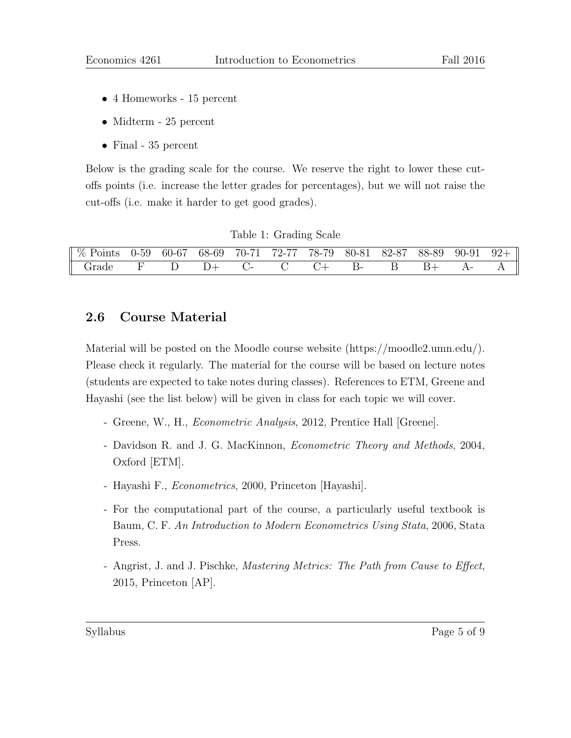- 4 Homeworks 15 percent
- Midterm 25 percent
- Final 35 percent

Below is the grading scale for the course. We reserve the right to lower these cutoffs points (i.e. increase the letter grades for percentages), but we will not raise the cut-offs (i.e. make it harder to get good grades).

|  | Table 1: Grading Scale |  |
|--|------------------------|--|
|--|------------------------|--|

| $\parallel \%$ Points |  |  | 0-59 60-67 68-69 70-71 72-77 78-79 80-81 82-87 88-89 90-91 9 |  |  | $92+$ |
|-----------------------|--|--|--------------------------------------------------------------|--|--|-------|
| . rade                |  |  |                                                              |  |  |       |

#### 2.6 Course Material

Material will be posted on the Moodle course website (https://moodle2.umn.edu/). Please check it regularly. The material for the course will be based on lecture notes (students are expected to take notes during classes). References to ETM, Greene and Hayashi (see the list below) will be given in class for each topic we will cover.

- Greene, W., H., Econometric Analysis, 2012, Prentice Hall [Greene].
- Davidson R. and J. G. MacKinnon, Econometric Theory and Methods, 2004, Oxford [ETM].
- Hayashi F., Econometrics, 2000, Princeton [Hayashi].
- For the computational part of the course, a particularly useful textbook is Baum, C. F. An Introduction to Modern Econometrics Using Stata, 2006, Stata Press.
- Angrist, J. and J. Pischke, Mastering Metrics: The Path from Cause to Effect, 2015, Princeton [AP].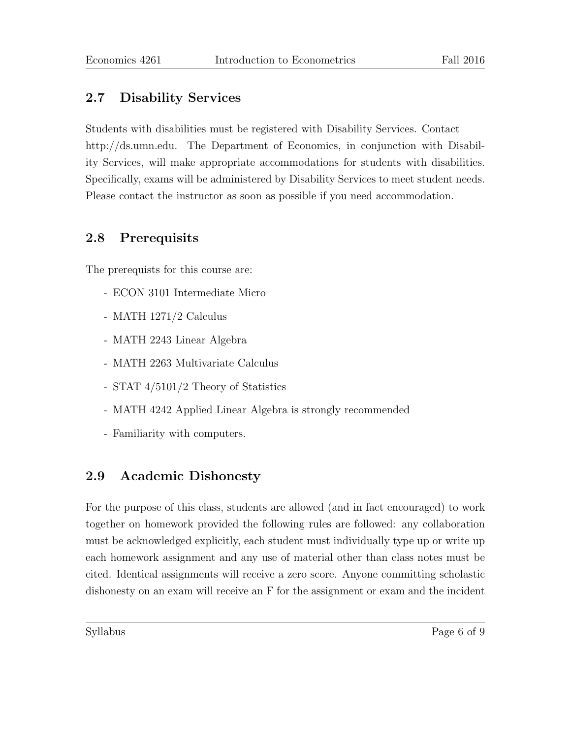### 2.7 Disability Services

Students with disabilities must be registered with Disability Services. Contact http://ds.umn.edu. The Department of Economics, in conjunction with Disability Services, will make appropriate accommodations for students with disabilities. Specifically, exams will be administered by Disability Services to meet student needs. Please contact the instructor as soon as possible if you need accommodation.

#### 2.8 Prerequisits

The prerequists for this course are:

- ECON 3101 Intermediate Micro
- MATH 1271/2 Calculus
- MATH 2243 Linear Algebra
- MATH 2263 Multivariate Calculus
- STAT 4/5101/2 Theory of Statistics
- MATH 4242 Applied Linear Algebra is strongly recommended
- Familiarity with computers.

### 2.9 Academic Dishonesty

For the purpose of this class, students are allowed (and in fact encouraged) to work together on homework provided the following rules are followed: any collaboration must be acknowledged explicitly, each student must individually type up or write up each homework assignment and any use of material other than class notes must be cited. Identical assignments will receive a zero score. Anyone committing scholastic dishonesty on an exam will receive an F for the assignment or exam and the incident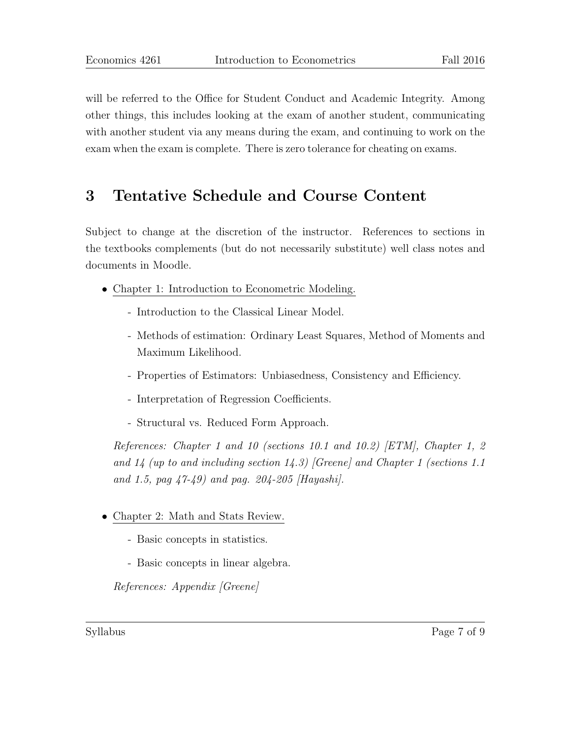will be referred to the Office for Student Conduct and Academic Integrity. Among other things, this includes looking at the exam of another student, communicating with another student via any means during the exam, and continuing to work on the exam when the exam is complete. There is zero tolerance for cheating on exams.

## 3 Tentative Schedule and Course Content

Subject to change at the discretion of the instructor. References to sections in the textbooks complements (but do not necessarily substitute) well class notes and documents in Moodle.

- Chapter 1: Introduction to Econometric Modeling.
	- Introduction to the Classical Linear Model.
	- Methods of estimation: Ordinary Least Squares, Method of Moments and Maximum Likelihood.
	- Properties of Estimators: Unbiasedness, Consistency and Efficiency.
	- Interpretation of Regression Coefficients.
	- Structural vs. Reduced Form Approach.

References: Chapter 1 and 10 (sections 10.1 and 10.2) [ETM], Chapter 1, 2 and  $14$  (up to and including section  $14.3$ ) [Greene] and Chapter 1 (sections 1.1 and 1.5, pag  $\frac{47-49}{9}$  and pag. 204-205 [Hayashi].

- Chapter 2: Math and Stats Review.
	- Basic concepts in statistics.
	- Basic concepts in linear algebra.

References: Appendix [Greene]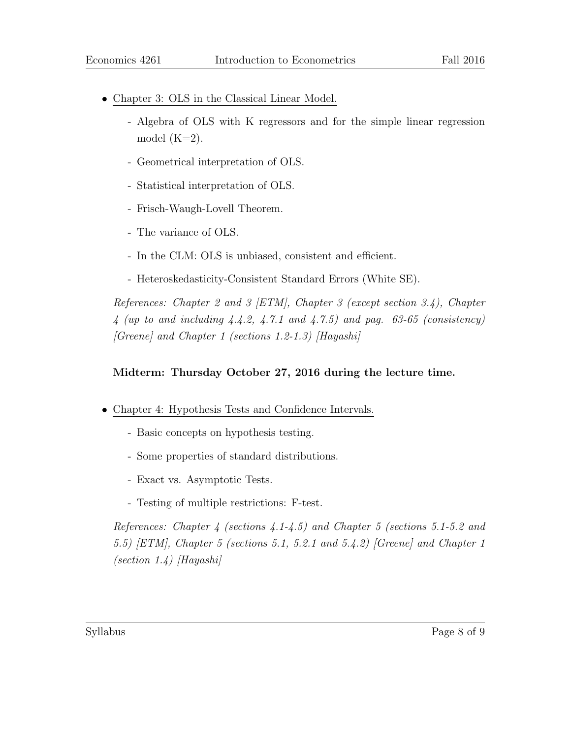- Chapter 3: OLS in the Classical Linear Model.
	- Algebra of OLS with K regressors and for the simple linear regression model  $(K=2)$ .
	- Geometrical interpretation of OLS.
	- Statistical interpretation of OLS.
	- Frisch-Waugh-Lovell Theorem.
	- The variance of OLS.
	- In the CLM: OLS is unbiased, consistent and efficient.
	- Heteroskedasticity-Consistent Standard Errors (White SE).

References: Chapter 2 and 3 [ETM], Chapter 3 (except section 3.4), Chapter  $4$  (up to and including  $4.4.2, 4.7.1$  and  $4.7.5$ ) and pag. 63-65 (consistency)  $[Greene]$  and Chapter 1 (sections 1.2-1.3)  $[Hayashi]$ 

#### Midterm: Thursday October 27, 2016 during the lecture time.

- Chapter 4: Hypothesis Tests and Confidence Intervals.
	- Basic concepts on hypothesis testing.
	- Some properties of standard distributions.
	- Exact vs. Asymptotic Tests.
	- Testing of multiple restrictions: F-test.

References: Chapter 4 (sections 4.1-4.5) and Chapter 5 (sections 5.1-5.2 and 5.5) [ETM], Chapter 5 (sections 5.1, 5.2.1 and 5.4.2) [Greene] and Chapter 1  $\left( \text{section } 1.4 \right)$  [Hayashi]